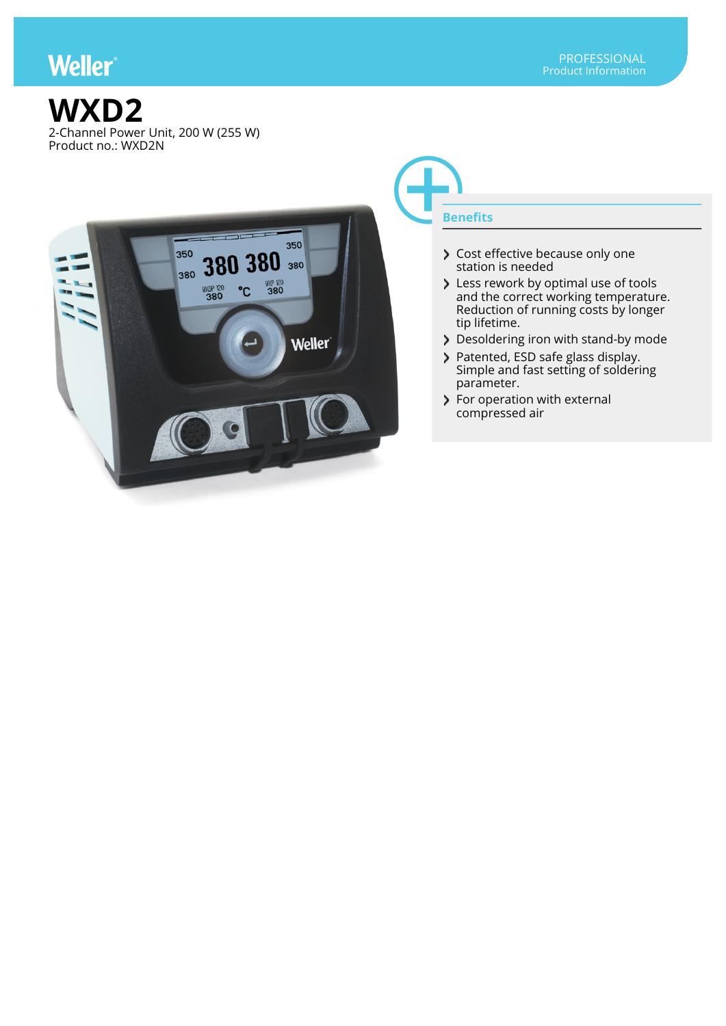## **Weller**





## **Benefits**

- Cost effective because only one station is needed
- Less rework by optimal use of tools and the correct working temperature. Reduction of running costs by longer tip lifetime.
- Desoldering iron with stand-by mode
- Patented, ESD safe glass display. Simple and fast setting of soldering parameter.
- > For operation with external compressed air